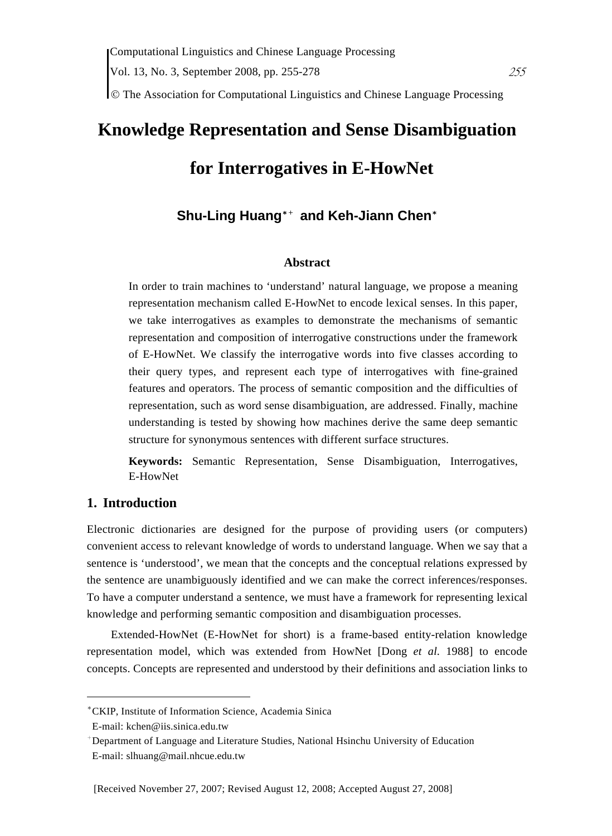© The Association for Computational Linguistics and Chinese Language Processing

# **Knowledge Representation and Sense Disambiguation for Interrogatives in E-HowNet**

# **Shu-Ling Huang**\*+ **and Keh-Jiann Chen**\*

#### **Abstract**

In order to train machines to 'understand' natural language, we propose a meaning representation mechanism called E-HowNet to encode lexical senses. In this paper, we take interrogatives as examples to demonstrate the mechanisms of semantic representation and composition of interrogative constructions under the framework of E-HowNet. We classify the interrogative words into five classes according to their query types, and represent each type of interrogatives with fine-grained features and operators. The process of semantic composition and the difficulties of representation, such as word sense disambiguation, are addressed. Finally, machine understanding is tested by showing how machines derive the same deep semantic structure for synonymous sentences with different surface structures.

**Keywords:** Semantic Representation, Sense Disambiguation, Interrogatives, E-HowNet

#### **1. Introduction**

Electronic dictionaries are designed for the purpose of providing users (or computers) convenient access to relevant knowledge of words to understand language. When we say that a sentence is 'understood', we mean that the concepts and the conceptual relations expressed by the sentence are unambiguously identified and we can make the correct inferences/responses. To have a computer understand a sentence, we must have a framework for representing lexical knowledge and performing semantic composition and disambiguation processes.

Extended-HowNet (E-HowNet for short) is a frame-based entity-relation knowledge representation model, which was extended from HowNet [Dong *et al*. 1988] to encode concepts. Concepts are represented and understood by their definitions and association links to

 $\overline{a}$ 

<sup>\*</sup>CKIP, Institute of Information Science, Academia Sinica

E-mail: kchen@iis.sinica.edu.tw

<sup>+</sup> Department of Language and Literature Studies, National Hsinchu University of Education E-mail: slhuang@mail.nhcue.edu.tw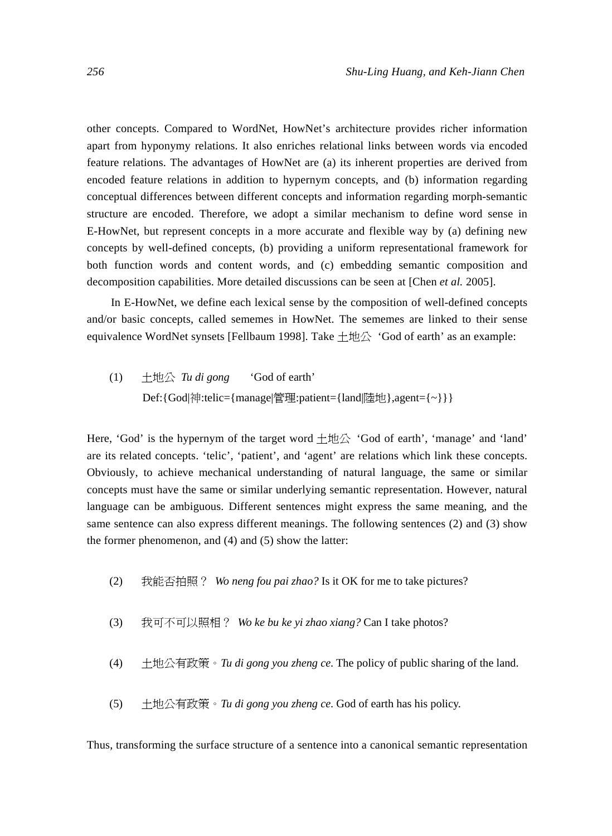other concepts. Compared to WordNet, HowNet's architecture provides richer information apart from hyponymy relations. It also enriches relational links between words via encoded feature relations. The advantages of HowNet are (a) its inherent properties are derived from encoded feature relations in addition to hypernym concepts, and (b) information regarding conceptual differences between different concepts and information regarding morph-semantic structure are encoded. Therefore, we adopt a similar mechanism to define word sense in E-HowNet, but represent concepts in a more accurate and flexible way by (a) defining new concepts by well-defined concepts, (b) providing a uniform representational framework for both function words and content words, and (c) embedding semantic composition and decomposition capabilities. More detailed discussions can be seen at [Chen *et al.* 2005].

In E-HowNet, we define each lexical sense by the composition of well-defined concepts and/or basic concepts, called sememes in HowNet. The sememes are linked to their sense equivalence WordNet synsets [Fellbaum 1998]. Take  $\pm \text{ 20}$  'God of earth' as an example:

(1) 土地公 *Tu di gong* 'God of earth' Def:{God|神:telic={manage|管理:patient={land|陸地},agent={~}}}

Here, 'God' is the hypernym of the target word  $+\text{H}\alpha$  'God of earth', 'manage' and 'land' are its related concepts. 'telic', 'patient', and 'agent' are relations which link these concepts. Obviously, to achieve mechanical understanding of natural language, the same or similar concepts must have the same or similar underlying semantic representation. However, natural language can be ambiguous. Different sentences might express the same meaning, and the same sentence can also express different meanings. The following sentences (2) and (3) show the former phenomenon, and (4) and (5) show the latter:

- (2) 我能否拍照? *Wo neng fou pai zhao?* Is it OK for me to take pictures?
- (3) 我可不可以照相? *Wo ke bu ke yi zhao xiang?* Can I take photos?
- (4)  $+$   $\#\$ 公有政策  $\cdot$  *Tu di gong you zheng ce*. The policy of public sharing of the land.
- (5) 土地公有政策。*Tu di gong you zheng ce*. God of earth has his policy.

Thus, transforming the surface structure of a sentence into a canonical semantic representation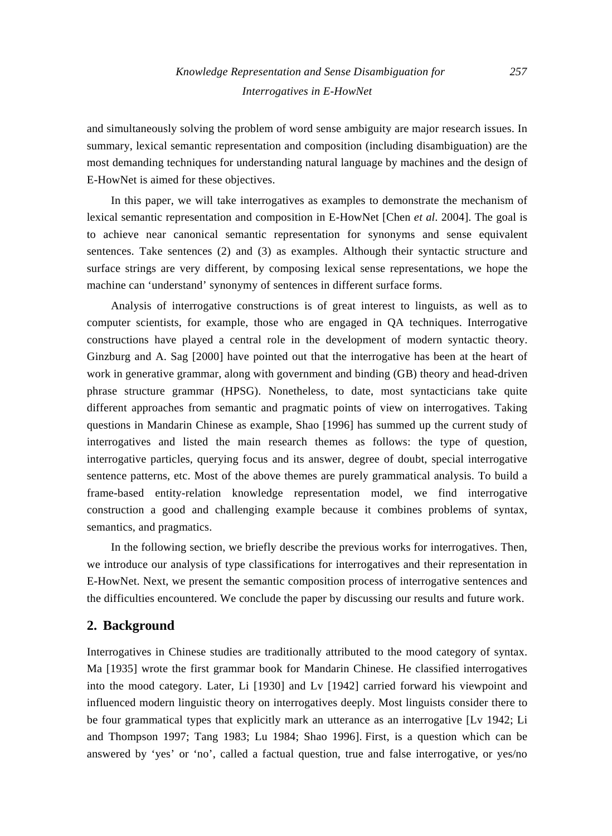and simultaneously solving the problem of word sense ambiguity are major research issues. In summary, lexical semantic representation and composition (including disambiguation) are the most demanding techniques for understanding natural language by machines and the design of E-HowNet is aimed for these objectives.

In this paper, we will take interrogatives as examples to demonstrate the mechanism of lexical semantic representation and composition in E-HowNet [Chen *et al*. 2004]. The goal is to achieve near canonical semantic representation for synonyms and sense equivalent sentences. Take sentences (2) and (3) as examples. Although their syntactic structure and surface strings are very different, by composing lexical sense representations, we hope the machine can 'understand' synonymy of sentences in different surface forms.

Analysis of interrogative constructions is of great interest to linguists, as well as to computer scientists, for example, those who are engaged in QA techniques. Interrogative constructions have played a central role in the development of modern syntactic theory. Ginzburg and A. Sag [2000] have pointed out that the interrogative has been at the heart of work in generative grammar, along with government and binding (GB) theory and head-driven phrase structure grammar (HPSG). Nonetheless, to date, most syntacticians take quite different approaches from semantic and pragmatic points of view on interrogatives. Taking questions in Mandarin Chinese as example, Shao [1996] has summed up the current study of interrogatives and listed the main research themes as follows: the type of question, interrogative particles, querying focus and its answer, degree of doubt, special interrogative sentence patterns, etc. Most of the above themes are purely grammatical analysis. To build a frame-based entity-relation knowledge representation model, we find interrogative construction a good and challenging example because it combines problems of syntax, semantics, and pragmatics.

In the following section, we briefly describe the previous works for interrogatives. Then, we introduce our analysis of type classifications for interrogatives and their representation in E-HowNet. Next, we present the semantic composition process of interrogative sentences and the difficulties encountered. We conclude the paper by discussing our results and future work.

## **2. Background**

Interrogatives in Chinese studies are traditionally attributed to the mood category of syntax. Ma [1935] wrote the first grammar book for Mandarin Chinese. He classified interrogatives into the mood category. Later, Li [1930] and Lv [1942] carried forward his viewpoint and influenced modern linguistic theory on interrogatives deeply. Most linguists consider there to be four grammatical types that explicitly mark an utterance as an interrogative [Lv 1942; Li and Thompson 1997; Tang 1983; Lu 1984; Shao 1996]. First, is a question which can be answered by 'yes' or 'no', called a factual question, true and false interrogative, or yes/no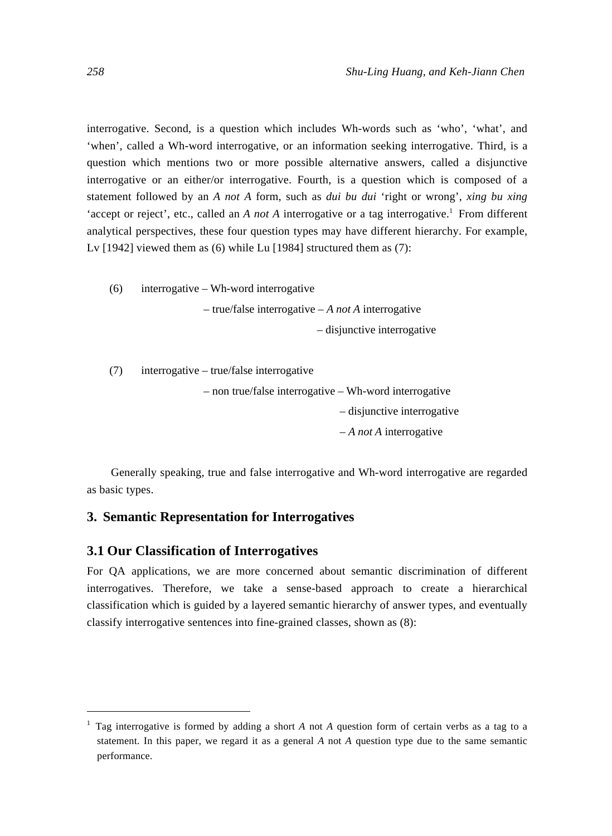interrogative. Second, is a question which includes Wh-words such as 'who', 'what', and 'when', called a Wh-word interrogative, or an information seeking interrogative. Third, is a question which mentions two or more possible alternative answers, called a disjunctive interrogative or an either/or interrogative. Fourth, is a question which is composed of a statement followed by an *A not A* form, such as *dui bu dui* 'right or wrong', *xing bu xing* 'accept or reject', etc., called an *A not A* interrogative or a tag interrogative.<sup>1</sup> From different analytical perspectives, these four question types may have different hierarchy. For example, Lv [1942] viewed them as (6) while Lu [1984] structured them as (7):

(6) interrogative – Wh-word interrogative – true/false interrogative – *A not A* interrogative – disjunctive interrogative

(7) interrogative – true/false interrogative

– non true/false interrogative – Wh-word interrogative – disjunctive interrogative – *A not A* interrogative

Generally speaking, true and false interrogative and Wh-word interrogative are regarded as basic types.

#### **3. Semantic Representation for Interrogatives**

#### **3.1 Our Classification of Interrogatives**

For QA applications, we are more concerned about semantic discrimination of different interrogatives. Therefore, we take a sense-based approach to create a hierarchical classification which is guided by a layered semantic hierarchy of answer types, and eventually classify interrogative sentences into fine-grained classes, shown as (8):

 $\overline{a}$ 

<sup>1</sup> Tag interrogative is formed by adding a short *A* not *A* question form of certain verbs as a tag to a statement. In this paper, we regard it as a general *A* not *A* question type due to the same semantic performance.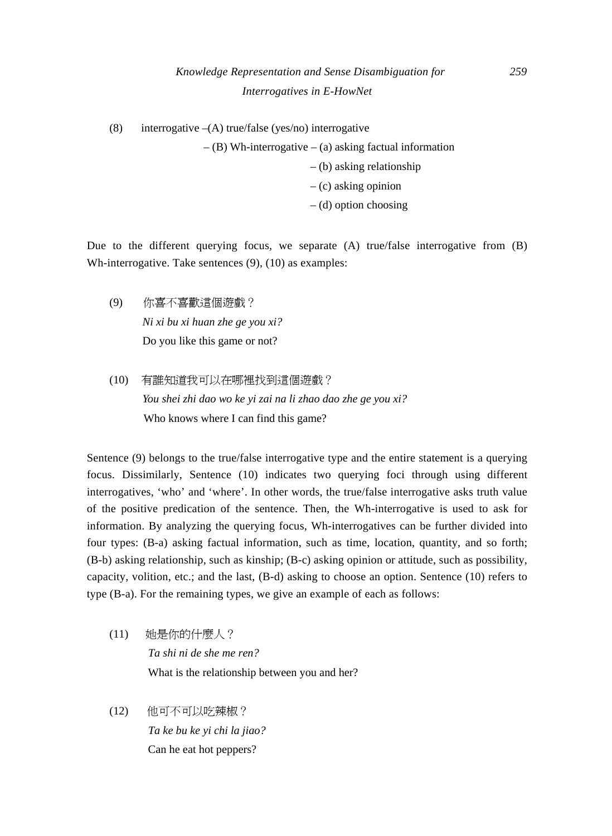(8) interrogative  $-(A)$  true/false (yes/no) interrogative

 $-$  (B) Wh-interrogative – (a) asking factual information – (b) asking relationship – (c) asking opinion – (d) option choosing

Due to the different querying focus, we separate (A) true/false interrogative from (B) Wh-interrogative. Take sentences (9), (10) as examples:

- (9) 你喜不喜歡這個遊戲? *Ni xi bu xi huan zhe ge you xi?*  Do you like this game or not?
- (10) 有誰知道我可以在哪裡找到這個遊戲? *You shei zhi dao wo ke yi zai na li zhao dao zhe ge you xi?*  Who knows where I can find this game?

Sentence (9) belongs to the true/false interrogative type and the entire statement is a querying focus. Dissimilarly, Sentence (10) indicates two querying foci through using different interrogatives, 'who' and 'where'. In other words, the true/false interrogative asks truth value of the positive predication of the sentence. Then, the Wh-interrogative is used to ask for information. By analyzing the querying focus, Wh-interrogatives can be further divided into four types: (B-a) asking factual information, such as time, location, quantity, and so forth; (B-b) asking relationship, such as kinship; (B-c) asking opinion or attitude, such as possibility, capacity, volition, etc.; and the last, (B-d) asking to choose an option. Sentence (10) refers to type (B-a). For the remaining types, we give an example of each as follows:

- (11) 她是你的什麼人? *Ta shi ni de she me ren?*  What is the relationship between you and her?
- (12) 他可不可以吃辣椒? *Ta ke bu ke yi chi la jiao?*  Can he eat hot peppers?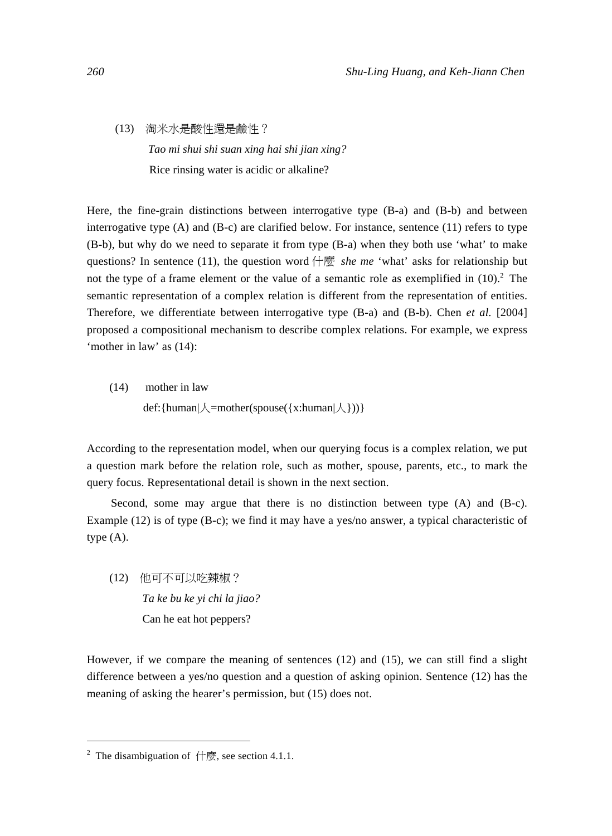(13) 淘米水是酸性還是鹼性?  *Tao mi shui shi suan xing hai shi jian xing?*  Rice rinsing water is acidic or alkaline?

Here, the fine-grain distinctions between interrogative type (B-a) and (B-b) and between interrogative type (A) and (B-c) are clarified below. For instance, sentence (11) refers to type (B-b), but why do we need to separate it from type (B-a) when they both use 'what' to make questions? In sentence (11), the question word 什麼 *she me* 'what' asks for relationship but not the type of a frame element or the value of a semantic role as exemplified in  $(10)$ .<sup>2</sup> The semantic representation of a complex relation is different from the representation of entities. Therefore, we differentiate between interrogative type (B-a) and (B-b). Chen *et al.* [2004] proposed a compositional mechanism to describe complex relations. For example, we express 'mother in law' as (14):

(14) mother in law def:{human| $\angle$ =mother(spouse({x:human| $\angle$ }))}

According to the representation model, when our querying focus is a complex relation, we put a question mark before the relation role, such as mother, spouse, parents, etc., to mark the query focus. Representational detail is shown in the next section.

Second, some may argue that there is no distinction between type (A) and (B-c). Example (12) is of type (B-c); we find it may have a yes/no answer, a typical characteristic of type (A).

(12) 他可不可以吃辣椒? *Ta ke bu ke yi chi la jiao?*  Can he eat hot peppers?

However, if we compare the meaning of sentences (12) and (15), we can still find a slight difference between a yes/no question and a question of asking opinion. Sentence (12) has the meaning of asking the hearer's permission, but (15) does not.

 $\overline{a}$ 

<sup>2</sup> The disambiguation of 什麼, see section 4.1.1.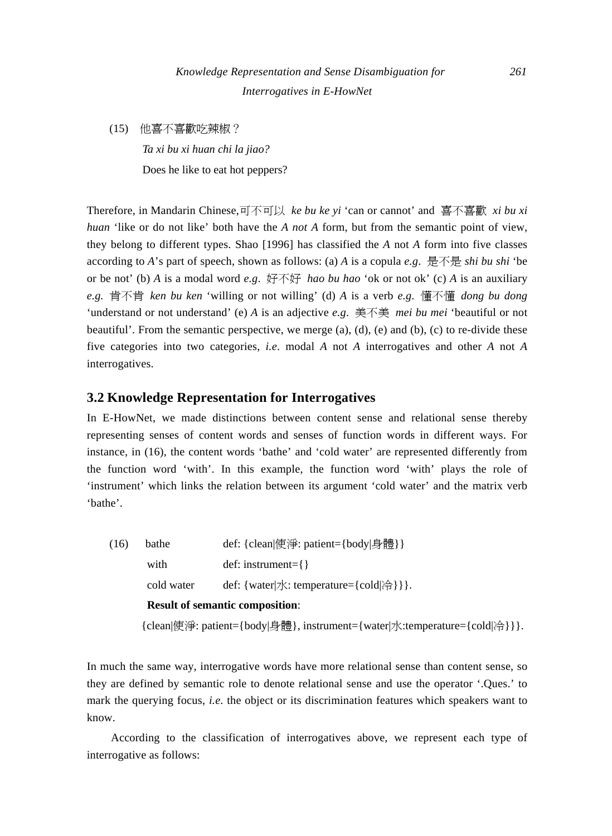(15) 他喜不喜歡吃辣椒?

 *Ta xi bu xi huan chi la jiao?*  Does he like to eat hot peppers?

Therefore, in Mandarin Chinese,可不可以 *ke bu ke yi* 'can or cannot' and 喜不喜歡 *xi bu xi huan* 'like or do not like' both have the *A not A* form, but from the semantic point of view, they belong to different types. Shao [1996] has classified the *A* not *A* form into five classes according to *A*'s part of speech, shown as follows: (a) *A* is a copula *e.g*. 是不是 *shi bu shi* 'be or be not' (b) *A* is a modal word *e.g*. 好不好 *hao bu hao* 'ok or not ok' (c) *A* is an auxiliary *e.g.* 肯不肯 *ken bu ken* 'willing or not willing' (d) *A* is a verb *e.g*. 懂不懂 *dong bu dong*  'understand or not understand' (e) *A* is an adjective *e.g*. 美不美 *mei bu mei* 'beautiful or not beautiful'. From the semantic perspective, we merge  $(a)$ ,  $(d)$ ,  $(e)$  and  $(b)$ ,  $(c)$  to re-divide these five categories into two categories, *i.e*. modal *A* not *A* interrogatives and other *A* not *A* interrogatives.

#### **3.2 Knowledge Representation for Interrogatives**

In E-HowNet, we made distinctions between content sense and relational sense thereby representing senses of content words and senses of function words in different ways. For instance, in (16), the content words 'bathe' and 'cold water' are represented differently from the function word 'with'. In this example, the function word 'with' plays the role of 'instrument' which links the relation between its argument 'cold water' and the matrix verb 'bathe'.

|  | (16) | bathe      | def: {clean 使淨: patient={body 身體}}                                        |  |  |
|--|------|------------|---------------------------------------------------------------------------|--|--|
|  |      | with       | $def: instrument = \{\}$                                                  |  |  |
|  |      | cold water | def: {water  $\chi$ : temperature={cold  $\hat{\theta}$ }}.               |  |  |
|  |      |            | <b>Result of semantic composition:</b>                                    |  |  |
|  |      |            | [clean 使淨: patient={body 身體}, instrument={water 水:temperature={cold 冷}}}. |  |  |

In much the same way, interrogative words have more relational sense than content sense, so they are defined by semantic role to denote relational sense and use the operator '.Ques.' to mark the querying focus, *i.e*. the object or its discrimination features which speakers want to know.

According to the classification of interrogatives above, we represent each type of interrogative as follows: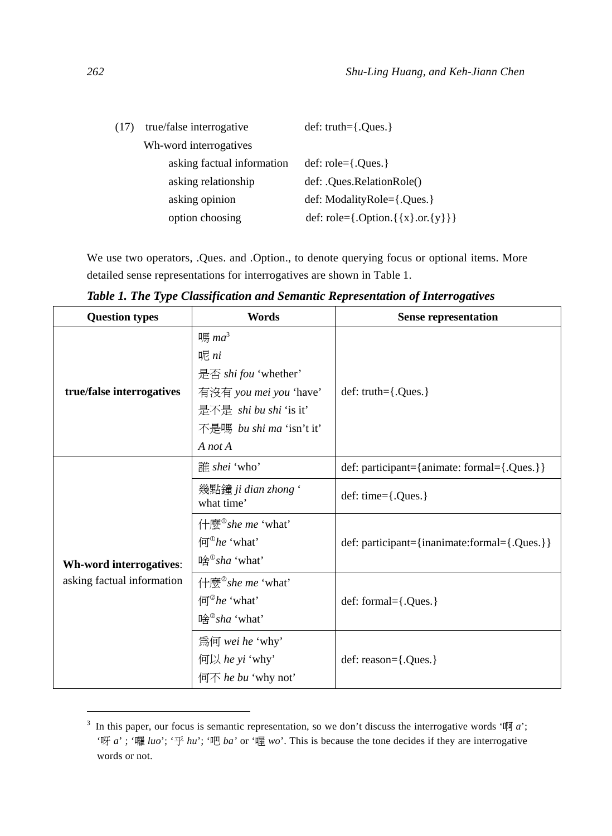| (17)                | true/false interrogative   | $def: truth={.}{Ques.}$                                    |  |
|---------------------|----------------------------|------------------------------------------------------------|--|
|                     | Wh-word interrogatives     |                                                            |  |
|                     | asking factual information | $def: role = \{. Ques.\}$                                  |  |
| asking relationship |                            | def: .Ques.RelationRole()                                  |  |
|                     | asking opinion             | def: ModalityRole={.Ques.}                                 |  |
|                     | option choosing            | def: role= $\{.\text{Option.}\{\{x\}.\text{or.}\{y\}\}\}\$ |  |

We use two operators, .Ques. and .Option., to denote querying focus or optional items. More detailed sense representations for interrogatives are shown in Table 1.

*Table 1. The Type Classification and Semantic Representation of Interrogatives* 

| <b>Question types</b>      | Words                                                                                                                                                   | <b>Sense representation</b>                  |  |
|----------------------------|---------------------------------------------------------------------------------------------------------------------------------------------------------|----------------------------------------------|--|
| true/false interrogatives  | 嗎 $ma^3$<br>呢 ni<br>是否 <i>shi fou</i> 'whether'<br>有沒有 you mei you 'have'<br>是不是 shi bu shi 'is it'<br>不是嗎 bu shi ma 'isn't it'<br>$A$ not $A$          | $def: truth={.}{Ques.}$                      |  |
|                            | 誰 shei 'who'                                                                                                                                            | def: participant={animate: formal={.Ques.}}  |  |
|                            | 幾點鐘 ji dian zhong'<br>what time'                                                                                                                        | def: time= ${.Ques.}$                        |  |
| Wh-word interrogatives:    | 什麼 <sup>®</sup> she me 'what'<br>$\mathbb{E}^{\mathbb{O}}$ he 'what'<br>哈 $®sha 'what'$                                                                 | def: participant={inanimate:formal={.Ques.}} |  |
| asking factual information | 什麼 <sup>2</sup> she me 'what'<br>$\left( \overline{\mathbf{q}}^{\mathbf{\circ}}\mathbf{h}e\right) ^{\mathbf{\circ}}$ what'<br>哈 <sup>2</sup> sha 'what' | $def: formal={. Ques.}$                      |  |
|                            | 為何 wei he 'why'<br>何以 he yi 'why'<br>何不 he bu 'why not'                                                                                                 | $def: reason={.Ques.}$                       |  |

<sup>&</sup>lt;sup>3</sup> In this paper, our focus is semantic representation, so we don't discuss the interrogative words ' $\mathbb{I}$  *a*'; '呀 *a*' ; '囉 *luo*'; '乎 *hu*'; '吧 *ba'* or '喔 *wo*'. This is because the tone decides if they are interrogative words or not.

 $\overline{a}$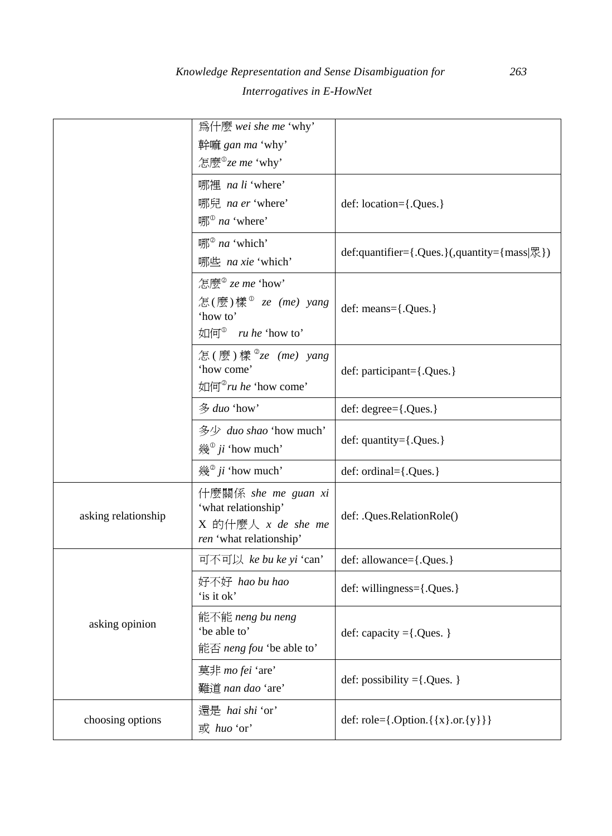|                     | 為什麼 wei she me 'why'                                                                            |                                                              |
|---------------------|-------------------------------------------------------------------------------------------------|--------------------------------------------------------------|
|                     | 幹嘛 gan ma 'why'                                                                                 |                                                              |
|                     | 怎麼 <sup>®</sup> ze me 'why'                                                                     |                                                              |
|                     | 哪裡 na li 'where'                                                                                |                                                              |
|                     | 哪兒 na er 'where'                                                                                | def: location={.Ques.}                                       |
|                     | 哪 <sup>®</sup> na 'where'                                                                       |                                                              |
|                     | 哪 <sup>@</sup> na 'which'                                                                       |                                                              |
|                     | 哪些 na xie 'which'                                                                               | def:quantifier={.Ques.}(,quantity={mass $\mathbb{R}$ })      |
|                     | 怎麼 <sup>2</sup> ze me 'how'                                                                     |                                                              |
|                     | 怎(麼)樣 <sup>®</sup> $ze$ (me) yang<br>'how to'<br>如何 <sup>®</sup> ru he 'how to'                 | def: means={.Ques.}                                          |
|                     |                                                                                                 |                                                              |
|                     | 怎(麼)樣 <sup>2</sup> ze (me) yang<br>'how come'<br>如何 <sup>2</sup> ru he 'how come'               | def: participant={.Ques.}                                    |
|                     | 多 duo 'how'                                                                                     | def: degree={.Ques.}                                         |
|                     | 多少 duo shao 'how much'<br>幾 <sup>0</sup> ji 'how much'                                          | def: $quantity={.Ques.}$                                     |
|                     | 幾 <sup>2</sup> ji 'how much'                                                                    | $def: ordinal={.Ques.}$                                      |
| asking relationship | 什麼關係 she me guan xi<br>'what relationship'<br>$X$ 的什麼人 $x$ de she me<br>ren 'what relationship' | def: .Ques.RelationRole()                                    |
|                     | 可不可以 ke bu ke yi 'can'                                                                          | def: allowance={.Ques.}                                      |
|                     | 好不好 hao bu hao<br>'is it ok'                                                                    | def: willingness={.Ques.}                                    |
| asking opinion      | 能不能 neng bu neng<br>'be able to'<br>能否 neng fou 'be able to'                                    | def: capacity = {. Ques. }                                   |
|                     | 莫非 <i>mo fei</i> 'are'<br>難道 nan dao 'are'                                                      | def: possibility = {. Ques. }                                |
| choosing options    | 還是 hai shi 'or'<br>或 huo 'or'                                                                   | def: role= $\{. \text{Option.} \{\{x\}.\text{or.} \{y\}\}\}$ |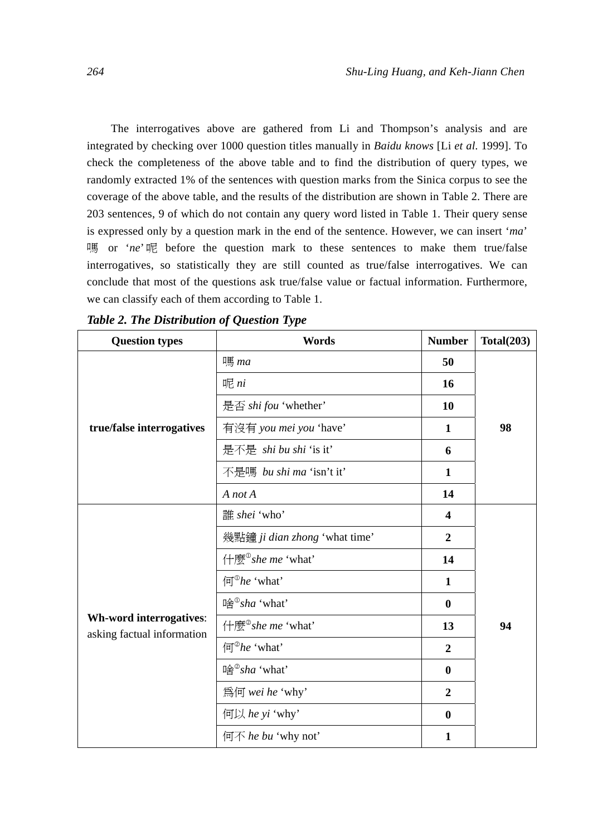The interrogatives above are gathered from Li and Thompson's analysis and are integrated by checking over 1000 question titles manually in *Baidu knows* [Li *et al*. 1999]. To check the completeness of the above table and to find the distribution of query types, we randomly extracted 1% of the sentences with question marks from the Sinica corpus to see the coverage of the above table, and the results of the distribution are shown in Table 2. There are 203 sentences, 9 of which do not contain any query word listed in Table 1. Their query sense is expressed only by a question mark in the end of the sentence. However, we can insert '*ma*' 嗎 or '*ne*' 呢 before the question mark to these sentences to make them true/false interrogatives, so statistically they are still counted as true/false interrogatives. We can conclude that most of the questions ask true/false value or factual information. Furthermore, we can classify each of them according to Table 1.

| <b>Question types</b>                                 | Words                                             | <b>Number</b>    | Total(203) |
|-------------------------------------------------------|---------------------------------------------------|------------------|------------|
|                                                       | 嗎 ma                                              | 50               |            |
|                                                       | 呢 $n$                                             | 16               |            |
|                                                       | 是否 shi fou 'whether'                              | 10               |            |
| true/false interrogatives                             | 有沒有 you mei you 'have'                            | 1                | 98         |
|                                                       | 是不是 shi bu shi 'is it'                            | 6                |            |
|                                                       | 不是嗎 bu shi ma 'isn't it'                          | 1                |            |
|                                                       | A not A                                           | 14               |            |
|                                                       | 誰 shei 'who'                                      | $\boldsymbol{4}$ |            |
|                                                       | 幾點鐘 ji dian zhong 'what time'                     | $\overline{2}$   |            |
|                                                       | 什麼 <sup>®</sup> she me 'what'                     | 14               |            |
|                                                       | $\left( \overline{\mathbf{u}}^{\odot} h e$ 'what' | 1                |            |
|                                                       | 哈 <sup>®</sup> sha 'what'                         | $\mathbf{0}$     |            |
| Wh-word interrogatives:<br>asking factual information | 什麼 <sup>2</sup> she me 'what'                     | 13               | 94         |
|                                                       | $\left( \overline{\mathbf{u}}^{\odot} h e$ 'what' | $\overline{2}$   |            |
|                                                       | 哈 <sup>2</sup> sha 'what'                         | $\mathbf{0}$     |            |
|                                                       | 為何 wei he 'why'                                   | $\overline{2}$   |            |
|                                                       | 何以 he yi 'why'                                    | $\mathbf{0}$     |            |
|                                                       | 何不 he bu 'why not'                                | 1                |            |

*Table 2. The Distribution of Question Type*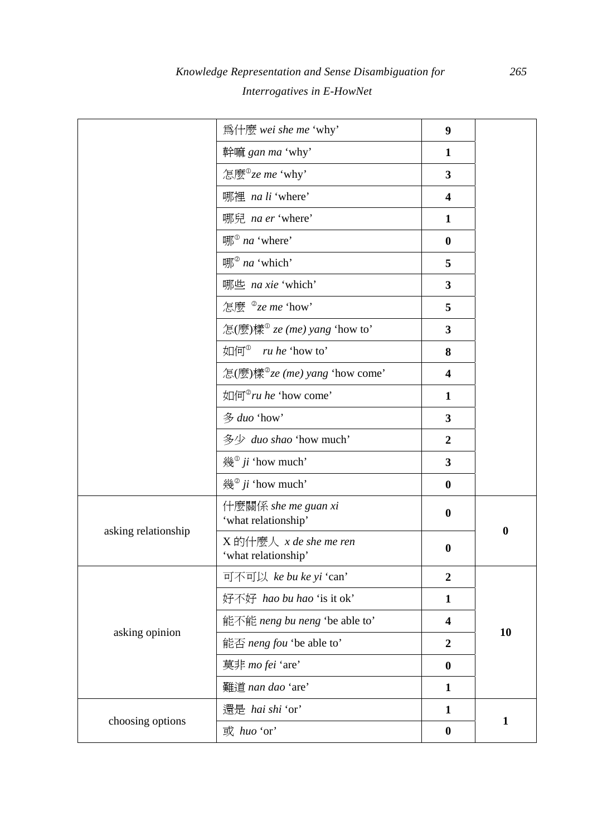|                     | 為什麼 wei she me 'why'                              | 9                       |              |
|---------------------|---------------------------------------------------|-------------------------|--------------|
|                     | 幹嘛 gan ma 'why'                                   | 1                       |              |
|                     | 怎麼 $^{\circ}$ ze me 'why'                         | 3                       |              |
|                     | 哪裡 na li 'where'                                  | $\overline{\mathbf{4}}$ |              |
|                     | 哪兒 na er 'where'                                  | $\mathbf{1}$            |              |
|                     | $\mathbb{H}^{\mathbb{O}}$ na 'where'              | $\bf{0}$                |              |
|                     | 哪 <sup>2</sup> na 'which'                         | 5                       |              |
|                     | 哪些 na xie 'which'                                 | 3                       |              |
|                     | 怎麼 $^{\circ}$ ze me 'how'                         | 5                       |              |
|                     | 怎(麼)樣 $^{\circ}$ ze (me) yang 'how to'            | 3                       |              |
|                     | 如何 <sup>®</sup><br>ru he 'how to'                 | 8                       |              |
|                     | 怎(麼)樣 $^{\circ}$ ze (me) yang 'how come'          | $\overline{\mathbf{4}}$ |              |
|                     | 如何 <sup>2</sup> ru he 'how come'                  | $\mathbf{1}$            |              |
|                     | 多 duo 'how'                                       | 3                       |              |
|                     | 多少 duo shao 'how much'                            | $\overline{2}$          |              |
|                     | 幾 <sup>®</sup> ji 'how much'                      | 3                       |              |
|                     | 幾 <sup>2</sup> ji 'how much'                      | $\bf{0}$                |              |
|                     | 什麼關係 she me guan xi<br>'what relationship'        | $\bf{0}$                | $\bf{0}$     |
| asking relationship | $X$ 的什麼人 $x$ de she me ren<br>'what relationship' | $\bf{0}$                |              |
|                     | 可不可以 ke bu ke yi 'can'                            | $\overline{2}$          |              |
|                     | 好不好 hao bu hao 'is it ok'                         | $\mathbf{1}$            |              |
|                     | 能不能 neng bu neng 'be able to'                     | 4                       |              |
| asking opinion      | 能否 neng fou 'be able to'                          | $\boldsymbol{2}$        | 10           |
|                     | 莫非 mo fei 'are'                                   |                         |              |
|                     | 難道 nan dao 'are'                                  | $\mathbf{1}$            |              |
|                     | 還是 hai shi 'or'                                   | $\mathbf{1}$            |              |
| choosing options    | 或 huo 'or'                                        | $\bf{0}$                | $\mathbf{1}$ |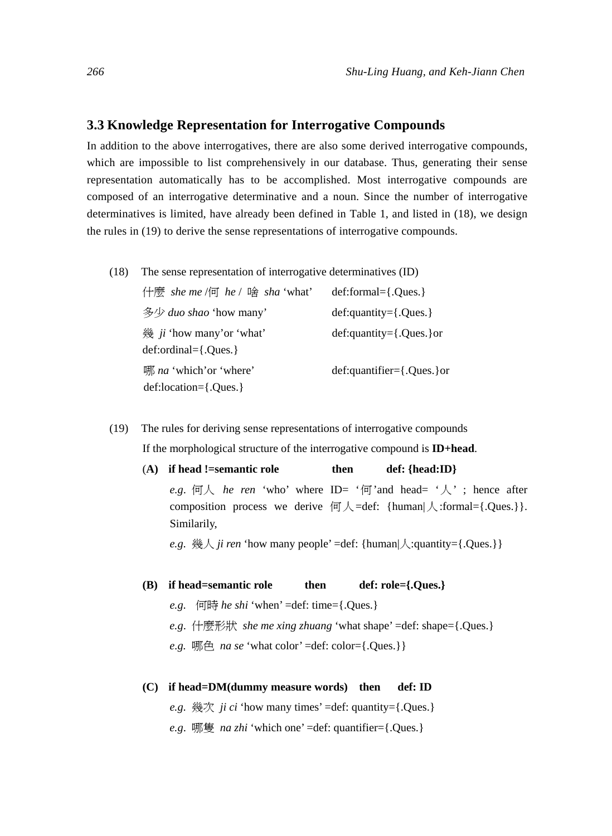#### **3.3 Knowledge Representation for Interrogative Compounds**

In addition to the above interrogatives, there are also some derived interrogative compounds, which are impossible to list comprehensively in our database. Thus, generating their sense representation automatically has to be accomplished. Most interrogative compounds are composed of an interrogative determinative and a noun. Since the number of interrogative determinatives is limited, have already been defined in Table 1, and listed in (18), we design the rules in (19) to derive the sense representations of interrogative compounds.

(18) The sense representation of interrogative determinatives (ID)

| 什麼 she me /何 he / 啥 sha 'what'                            | $def:formal = \{.Ques.\}$         |
|-----------------------------------------------------------|-----------------------------------|
| 多少 duo shao 'how many'                                    | $def:quantity={.Ques.}$           |
| 幾 $ji$ 'how many' or 'what'<br>$def: ordinal={. Ques.}$   | $def:quantity={.Ques.}$ or        |
| 哪 <i>na</i> 'which' or 'where'<br>$def:location={.Ques.}$ | $def:quantifier = \{. Ques.\}$ or |

- (19) The rules for deriving sense representations of interrogative compounds If the morphological structure of the interrogative compound is **ID+head**.
	- (A) if head !=semantic role then def: {head:ID} e.g.  $\Box \wedge$  *he ren* 'who' where ID= '何' and head= '人'; hence after composition process we derive  $\Box \Box \wedge =$ def: {human $\Diamond$ :formal={.Ques.}}.

*e.g.* 幾人 *ji ren* 'how many people' =def: {human $\lambda$ :quantity={.Ques.}}

#### **(B) if head=semantic role then def: role={.Ques.}**

*e.g*. 何時 *he shi* 'when' =def: time={.Ques.}

Similarily,

- *e.g*. 什麼形狀 *she me xing zhuang* 'what shape' =def: shape={.Ques.}
- *e.g.*  $\mathbb{R} \uparrow \mathbb{R}$  *na se* 'what color' =def: color={.0ues.}}
- **(C) if head=DM(dummy measure words) then def: ID**

*e.g*. 幾次 *ji ci* 'how many times' =def: quantity={.Ques.}

*e.g*. 哪隻 *na zhi* 'which one' =def: quantifier={.Ques.}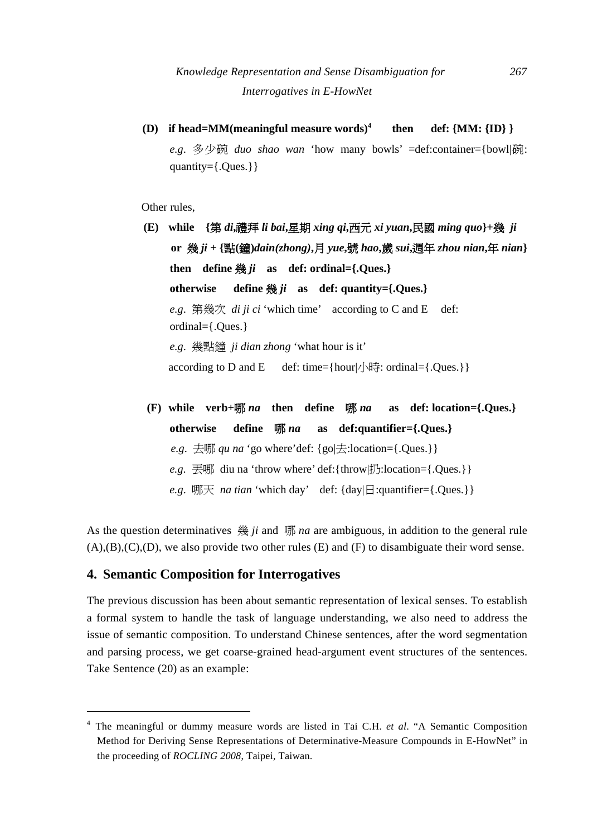**(D) if head=MM(meaningful measure words)4 then def: {MM: {ID} }**  *e.g*. 多少碗 *duo shao wan* 'how many bowls' =def:container={bowl|碗: quantity={.Ques.}}

Other rules,

- **(E) while {**第 *di***,**禮拜 *li bai***,**星期 *xing qi***,**西元 *xi yuan***,**民國 *ming quo***}+**幾 *ji*  **or** 幾 *ji* **+ {**點**(**鐘**)***dain(zhong)***,**月 *yue***,**號 *hao***,**歲 *sui***,**週年 *zhou nian***,**年 *nian***}**  then define  $\frac{46}{30}i$  as def: ordinal={.Ques.} **otherwise define** 幾 *ji* **as def: quantity={.Ques.}**  *e.g*. 第幾次 *di ji ci* 'which time' according to C and E def: ordinal={.Ques.} *e.g*. 幾點鐘 *ji dian zhong* 'what hour is it' according to D and E def: time={hour| $/$ \\\\\\\\\\\ldigits: ordinal={.Ques.}}
- **(F) while verb+**哪 *na* **then define** 哪 *na* **as def: location={.Ques.} otherwise define** 哪 *na* **as def:quantifier={.Ques.}**  *e.g.*  $\pm \mathbb{W}$  *qu na* 'go where'def: {go $\pm$ :location={.Ques.}} *e.g*. 丟哪 diu na 'throw where' def:{throw|扔:location={.Ques.}} *e.g*. 哪天 *na tian* 'which day' def: {day|日:quantifier={.Ques.}}

As the question determinatives 幾 *ji* and 哪 *na* are ambiguous, in addition to the general rule  $(A), (B), (C), (D)$ , we also provide two other rules  $(E)$  and  $(F)$  to disambiguate their word sense.

#### **4. Semantic Composition for Interrogatives**

 $\overline{a}$ 

The previous discussion has been about semantic representation of lexical senses. To establish a formal system to handle the task of language understanding, we also need to address the issue of semantic composition. To understand Chinese sentences, after the word segmentation and parsing process, we get coarse-grained head-argument event structures of the sentences. Take Sentence (20) as an example:

<sup>4</sup> The meaningful or dummy measure words are listed in Tai C.H. *et al*. "A Semantic Composition Method for Deriving Sense Representations of Determinative-Measure Compounds in E-HowNet" in the proceeding of *ROCLING 2008*, Taipei, Taiwan.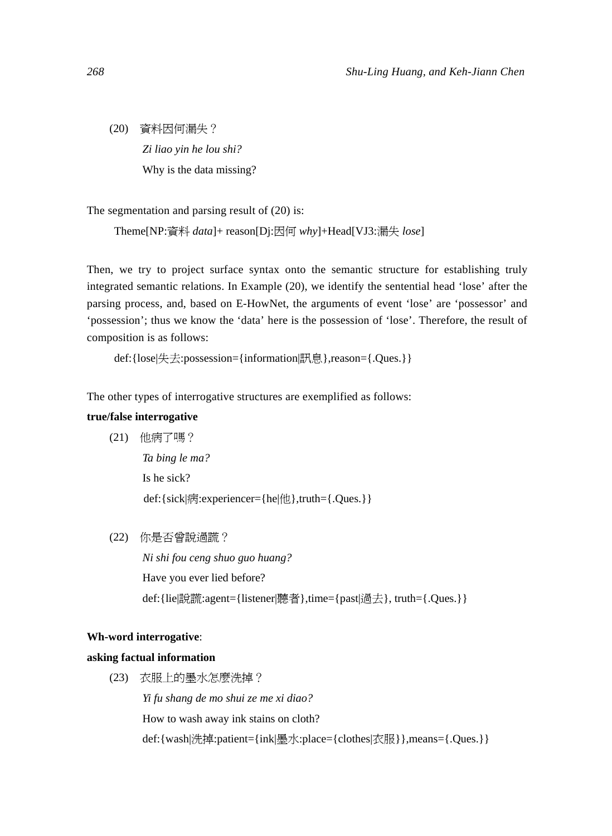(20) 資料因何漏失? *Zi liao yin he lou shi?*  Why is the data missing?

The segmentation and parsing result of (20) is:

Theme[NP:資料 *data*]+ reason[Dj:因何 *why*]+Head[VJ3:漏失 *lose*]

Then, we try to project surface syntax onto the semantic structure for establishing truly integrated semantic relations. In Example (20), we identify the sentential head 'lose' after the parsing process, and, based on E-HowNet, the arguments of event 'lose' are 'possessor' and 'possession'; thus we know the 'data' here is the possession of 'lose'. Therefore, the result of composition is as follows:

def:{lose|失去:possession={information|訊息},reason={.Ques.}}

The other types of interrogative structures are exemplified as follows:

#### **true/false interrogative**

(21) 他病了嗎?

 *Ta bing le ma?*  Is he sick? def:{sick|病:experiencer={he|他},truth={.Ques.}}

(22) 你是否曾說過謊?

 *Ni shi fou ceng shuo guo huang?*  Have you ever lied before? def:{lie|說謊:agent={listener|聽者},time={past|過去}, truth={.Ques.}}

#### **Wh-word interrogative**:

#### **asking factual information**

(23) 衣服上的墨水怎麼洗掉?

 *Yi fu shang de mo shui ze me xi diao?*  How to wash away ink stains on cloth? def:{wash|洗掉:patient={ink|墨水:place={clothes|衣服}},means={.Ques.}}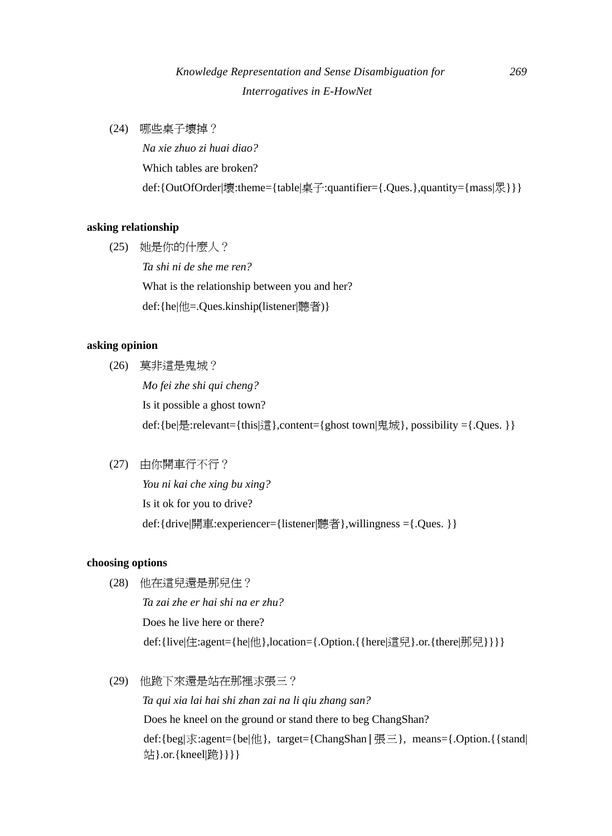# *Knowledge Representation and Sense Disambiguation for 269 Interrogatives in E-HowNet*

(24) 哪些桌子壞掉?

 *Na xie zhuo zi huai diao?*  Which tables are broken? def:{OutOfOrder|壞:theme={table|桌子:quantifier={.Ques.},quantity={mass|眾}}}

#### **asking relationship**

(25) 她是你的什麼人?  *Ta shi ni de she me ren?*  What is the relationship between you and her? def:{he|他=.Ques.kinship(listener|聽者)}

#### **asking opinion**

- (26) 莫非這是鬼城?  *Mo fei zhe shi qui cheng?*  Is it possible a ghost town? def:{be|是:relevant={this|這},content={ghost town|鬼城}, possibility ={.Ques. }}
- (27) 由你開車行不行?

 *You ni kai che xing bu xing?*  Is it ok for you to drive? def:{drive|開車:experiencer={listener|聽者},willingness ={.Ques. }}

#### **choosing options**

- (28) 他在這兒還是那兒住?  *Ta zai zhe er hai shi na er zhu?*  Does he live here or there? def:{live|住:agent={he|他},location={.Option.{{here}這兒}.or.{there|那兒}}}}
- (29) 他跪下來還是站在那裡求張三?  *Ta qui xia lai hai shi zhan zai na li qiu zhang san?*  Does he kneel on the ground or stand there to beg ChangShan? def:{beg|求:agent={be|他}, target={ChangShan|張三}, means={.Option.{{stand| 站}.or.{kneel|跪}}}}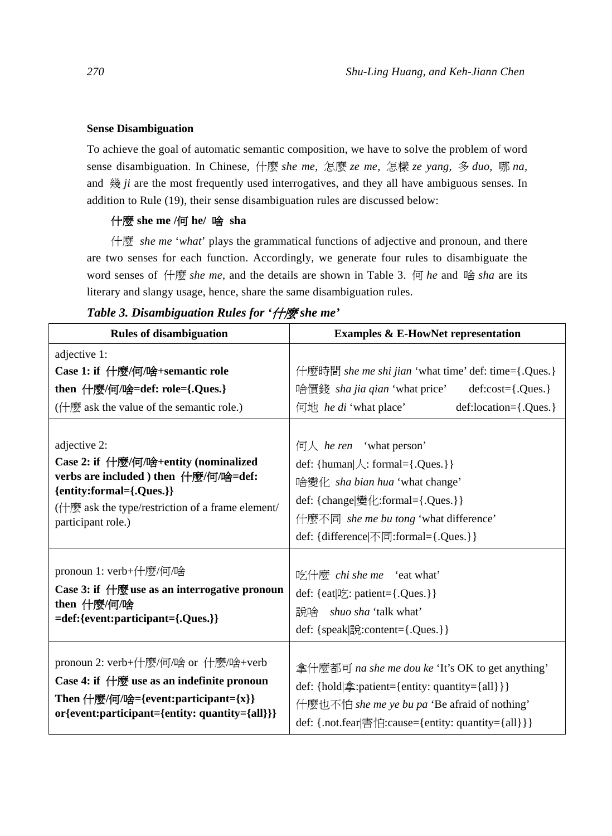#### **Sense Disambiguation**

To achieve the goal of automatic semantic composition, we have to solve the problem of word sense disambiguation. In Chinese, 什麼 *she me*, 怎麼 *ze me,* 怎樣 *ze yang,* 多 *duo,* 哪 *na,* and 幾 *ji* are the most frequently used interrogatives, and they all have ambiguous senses. In addition to Rule (19), their sense disambiguation rules are discussed below:

#### 什麼 **she me /**何 **he/** 啥 **sha**

什麼 *she me* '*what*' plays the grammatical functions of adjective and pronoun, and there are two senses for each function. Accordingly, we generate four rules to disambiguate the word senses of 什麼 *she me*, and the details are shown in Table 3. 何 *he* and 啥 *sha* are its literary and slangy usage, hence, share the same disambiguation rules.

| <b>Rules of disambiguation</b>                                                                                                                                                                       | <b>Examples &amp; E-HowNet representation</b>                                                                                                                                                                                             |  |  |  |
|------------------------------------------------------------------------------------------------------------------------------------------------------------------------------------------------------|-------------------------------------------------------------------------------------------------------------------------------------------------------------------------------------------------------------------------------------------|--|--|--|
| adjective 1:                                                                                                                                                                                         |                                                                                                                                                                                                                                           |  |  |  |
| Case 1: if 什麼/何/啥+semantic role                                                                                                                                                                      | 什麼時間 she me shi jian 'what time' def: time={.Ques.}                                                                                                                                                                                       |  |  |  |
| then 什麼/何/啥=def: role={.Ques.}                                                                                                                                                                       | 啥價錢 sha jia qian 'what price'<br>$def:cost={.Ques.}$                                                                                                                                                                                      |  |  |  |
| (什麼 ask the value of the semantic role.)                                                                                                                                                             | def:location={.Ques.}<br>何地 <i>he di</i> 'what place'                                                                                                                                                                                     |  |  |  |
| adjective 2:<br>Case 2: if 什麼/何/啥+entity (nominalized<br>verbs are included ) then 什麼/何/啥=def:<br>{entity:formal={.Ques.}}<br>(什麼 ask the type/restriction of a frame element/<br>participant role.) | $\overline{m}$ / he ren 'what person'<br>def: { $human   \land$ : formal={.Ques.}}<br>啥變化 sha bian hua 'what change'<br>def: {change 變化:formal={.Ques.}}<br>什麼不同 she me bu tong 'what difference'<br>def: {difference 不同:formal={.Ques.}} |  |  |  |
| pronoun 1: verb+什麼/何/啥<br>Case 3: if 什麼 use as an interrogative pronoun<br>then 什麼/何/啥<br>=def:{event:participant={.Ques.}}                                                                          | 吃什麼 chi she me 'eat what'<br>def: {eat 吃: patient={.Ques.}}<br>說啥 <i>shuo sha</i> 'talk what'<br>def: {speak 說:content={.Ques.}}                                                                                                          |  |  |  |
| pronoun 2: verb+什麼/何/啥 or 什麼/啥+verb<br>Case 4: if $\#$ we as an indefinite pronoun<br>Then 什麼/何/啥={event:participant={x}}<br>or{event:participant={entity: quantity={all}}}                          | 拿什麼都可 na she me dou ke 'It's OK to get anything'<br>def: {hold 拿:patient={entity: quantity={all}}}<br>什麼也不怕 she me ye bu pa 'Be afraid of nothing'<br>def: {.not.fear 害怕:cause={entity: quantity={all}}}                                  |  |  |  |

#### *Table 3. Disambiguation Rules for '*什麼 *she me'*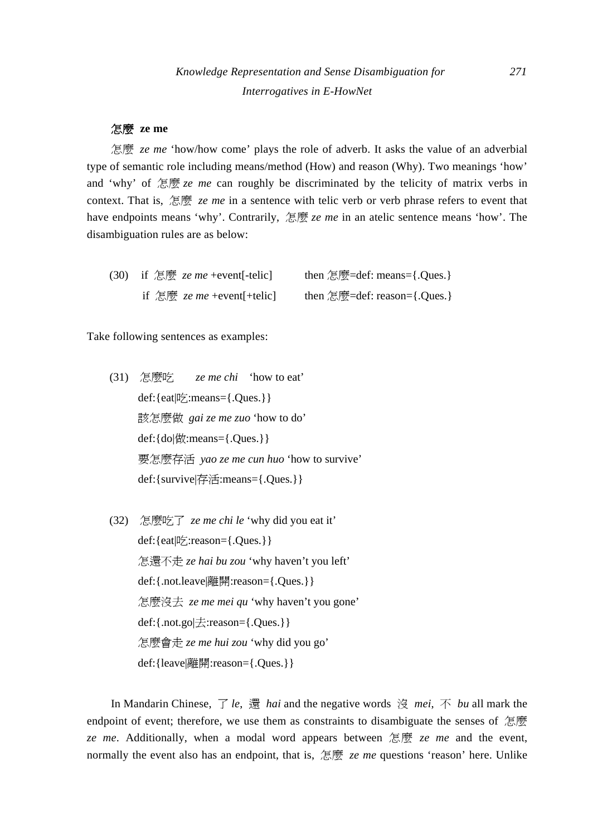#### 怎麼 **ze me**

怎麼 *ze me* 'how/how come' plays the role of adverb. It asks the value of an adverbial type of semantic role including means/method (How) and reason (Why). Two meanings 'how' and 'why' of 怎麼 *ze me* can roughly be discriminated by the telicity of matrix verbs in context. That is, 怎麼 *ze me* in a sentence with telic verb or verb phrase refers to event that have endpoints means 'why'. Contrarily, 怎麼 *ze me* in an atelic sentence means 'how'. The disambiguation rules are as below:

| (30) | if $\mathbb{E}[\overline{\mathfrak{W}}]$ <i>ze me</i> +event[-telic] | then $\mathbb{E}\mathbb{E}$ =def: means={.Ques.} |
|------|----------------------------------------------------------------------|--------------------------------------------------|
|      | if $\mathbb{E}[\overline{\mathfrak{W}}]$ ze me +event[+telic]        | then 怎麼=def: reason={.Ques.}                     |

Take following sentences as examples:

- (31) 怎麼吃 *ze me chi* 'how to eat' def:{eat|吃:means={.Ques.}} 該怎麼做 *gai ze me zuo* 'how to do' def:{do|做:means={.Ques.}} 要怎麼存活 *yao ze me cun huo* 'how to survive' def:{survive|存活:means={.Ques.}}
- (32) 怎麼吃了 *ze me chi le* 'why did you eat it' def:{eat|吃:reason={.Ques.}} 怎還不走 *ze hai bu zou* 'why haven't you left' def:{.not.leave|離開:reason={.Ques.}} 怎麼沒去 *ze me mei qu* 'why haven't you gone' def:{.not.go|去:reason={.Ques.}} 怎麼會走 *ze me hui zou* 'why did you go' def:{leave|離開:reason={.Ques.}}

In Mandarin Chinese, 了 *le*, 還 *hai* and the negative words 沒 *mei*, 不 *bu* all mark the endpoint of event; therefore, we use them as constraints to disambiguate the senses of 怎麼 *ze me*. Additionally, when a modal word appears between 怎麼 *ze me* and the event, normally the event also has an endpoint, that is, 怎麼 *ze me* questions 'reason' here. Unlike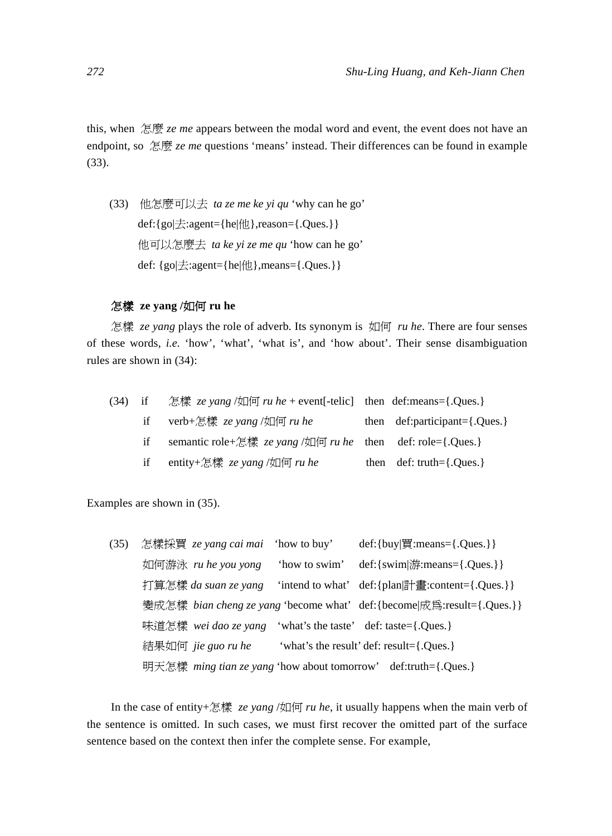this, when 怎麼 *ze me* appears between the modal word and event, the event does not have an endpoint, so 怎麼 *ze me* questions 'means' instead. Their differences can be found in example (33).

(33) 他怎麼可以去 *ta ze me ke yi qu* 'why can he go' def:{go|去:agent={he|他},reason={.Ques.}} 他可以怎麼去 *ta ke yi ze me qu* 'how can he go' def: {go|去:agent={he|他},means={.Ques.}}

#### 怎樣 **ze yang /**如何 **ru he**

怎樣 *ze yang* plays the role of adverb. Its synonym is 如何 *ru he*. There are four senses of these words, *i.e.* 'how', 'what', 'what is', and 'how about'. Their sense disambiguation rules are shown in (34):

| $(34)$ if |    | 怎樣 ze yang /如何 ru he + event[-telic] then def:means={.Ques.}             |                                                 |
|-----------|----|--------------------------------------------------------------------------|-------------------------------------------------|
|           |    | if verb+怎樣 ze yang /如何 ru he                                             | then $def:participant = \{.Ques.\}$             |
|           | if | semantic role+怎樣 <i>ze yang</i> /如何 <i>ru he</i> then def: role={.Ques.} |                                                 |
|           | if | entity+怎樣 $ze$ yang /如何 ru he                                            | then $\text{def: truth} = \{.\\ \text{Oues.}\}$ |

Examples are shown in (35).

| (35) | 怎樣採買 <i>ze yang cai mai</i> 'how to buy'                       |               | def: $\{buy   \overline{f} : \text{means} = \{.Ques.\}\}$                    |
|------|----------------------------------------------------------------|---------------|------------------------------------------------------------------------------|
|      | 如何游泳 ru he you yong                                            | 'how to swim' | def:{swim $ \nexists$ f::\;means={.Ques.}}                                   |
|      | 打算怎樣 da suan ze yang                                           |               |                                                                              |
|      |                                                                |               | 變成怎樣 bian cheng ze yang 'become what' def: {become  成爲: result= {. Ques. } } |
|      | 味道怎樣 wei dao ze yang                                           |               | 'what's the taste' def: taste={.Ques.}                                       |
|      | 結果如何 jie guo ru he                                             |               | 'what's the result' def: result={.Ques.}                                     |
|      | 明天怎樣 ming tian ze yang 'how about tomorrow' def:truth={.Ques.} |               |                                                                              |

In the case of entity+怎樣 *ze yang* /如何 *ru he*, it usually happens when the main verb of the sentence is omitted. In such cases, we must first recover the omitted part of the surface sentence based on the context then infer the complete sense. For example,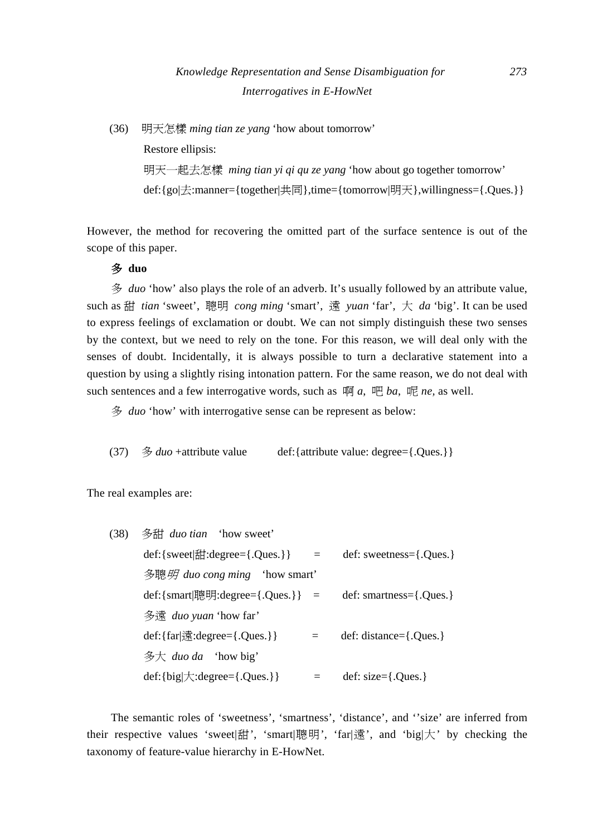(36) 明天怎樣 *ming tian ze yang* 'how about tomorrow'

Restore ellipsis:

明天一起去怎樣 *ming tian yi qi qu ze yang* 'how about go together tomorrow' def:{go|去:manner={together|共同},time={tomorrow|明天},willingness={.Ques.}}

However, the method for recovering the omitted part of the surface sentence is out of the scope of this paper.

#### 多 **duo**

多 *duo* 'how' also plays the role of an adverb. It's usually followed by an attribute value, such as 甜 *tian* 'sweet', 聰明 *cong ming* 'smart', 遠 *yuan* 'far', 大 *da* 'big'. It can be used to express feelings of exclamation or doubt. We can not simply distinguish these two senses by the context, but we need to rely on the tone. For this reason, we will deal only with the senses of doubt. Incidentally, it is always possible to turn a declarative statement into a question by using a slightly rising intonation pattern. For the same reason, we do not deal with such sentences and a few interrogative words, such as  $\mathbb{M}$  *a*,  $\mathbb{R}$  *ba*,  $\mathbb{R}$  *ne*, as well.

多 *duo* 'how' with interrogative sense can be represent as below:

(37) 多 *duo* +attribute value def:{attribute value: degree={.Ques.}}

The real examples are:

| (38) | 多甜 <i>duo tian</i> 'how sweet'                            |          |                                 |
|------|-----------------------------------------------------------|----------|---------------------------------|
|      | def:{sweet $\left[\frac{1}{2}$ } :degree={.Ques.}}        | $\equiv$ | $def:$ sweetness= $\{.\\$ Oues. |
|      | 多聰 <i>明 duo cong ming</i> 'how smart'                     |          |                                 |
|      | def:{smart 聰明:degree={.Ques.}} =                          |          | $def: snartness = \{.\\Oues.\}$ |
|      | 多遠 duo yuan 'how far'                                     |          |                                 |
|      | def:{far $\ddot{\mathbb{R}}$ :degree={.Ques.}}            | $=$      | def: distance= $\{.Ques.\}$     |
|      | 多大 <i>duo da</i> 'how big'                                |          |                                 |
|      | $def: \{big[\star : \text{degree} = \{.\text{Ques.}\}\}\$ |          | def: $size=\{.Ques.\}$          |

The semantic roles of 'sweetness', 'smartness', 'distance', and ''size' are inferred from their respective values 'sweet|甜', 'smart|聰明', 'far|遠', and 'big|大' by checking the taxonomy of feature-value hierarchy in E-HowNet.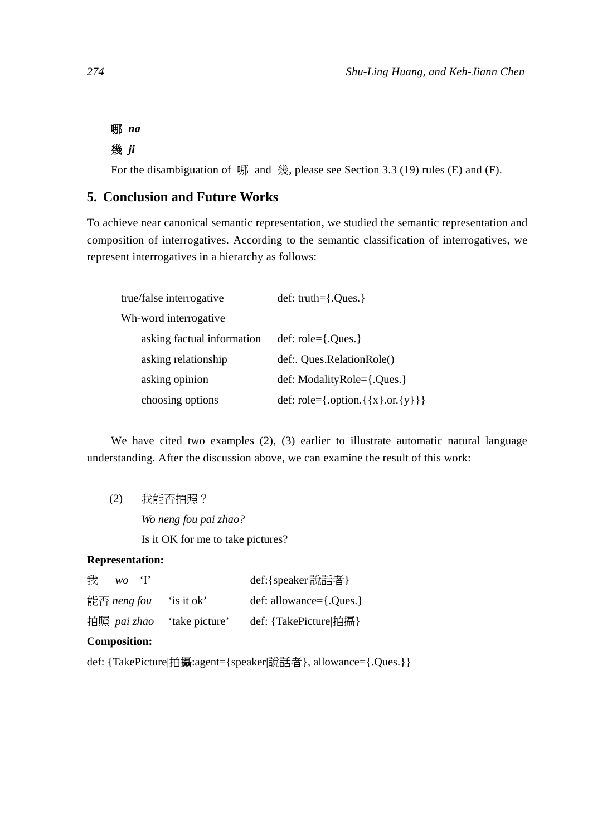### 哪 *na*

# 幾 *ji*

For the disambiguation of 哪 and 幾, please see Section 3.3 (19) rules (E) and (F).

## **5. Conclusion and Future Works**

To achieve near canonical semantic representation, we studied the semantic representation and composition of interrogatives. According to the semantic classification of interrogatives, we represent interrogatives in a hierarchy as follows:

| true/false interrogative   | $def: truth={.}{Ques.}$                      |
|----------------------------|----------------------------------------------|
| Wh-word interrogative      |                                              |
| asking factual information | $def: role = \{.…$                           |
| asking relationship        | def: Oues.RelationRole()                     |
| asking opinion             | def: ModalityRole={.Ques.}                   |
| choosing options           | def: role={.option.{ $\{x\}$ .or. $\{y\}$ }} |

We have cited two examples (2), (3) earlier to illustrate automatic natural language understanding. After the discussion above, we can examine the result of this work:

(2) 我能否拍照?

*Wo neng fou pai zhao?* 

Is it OK for me to take pictures?

#### **Representation:**

| 我<br>WO     |                | def:{speaker 說話者}               |
|-------------|----------------|---------------------------------|
| 能否 neng fou | 'is it ok'     | $def: allowance = \{. Ques. \}$ |
| 拍照 pai zhao | 'take picture' | def: {TakePicture 拍攝}           |

#### **Composition:**

def: {TakePicture|拍攝:agent={speaker|說話者}, allowance={.Ques.}}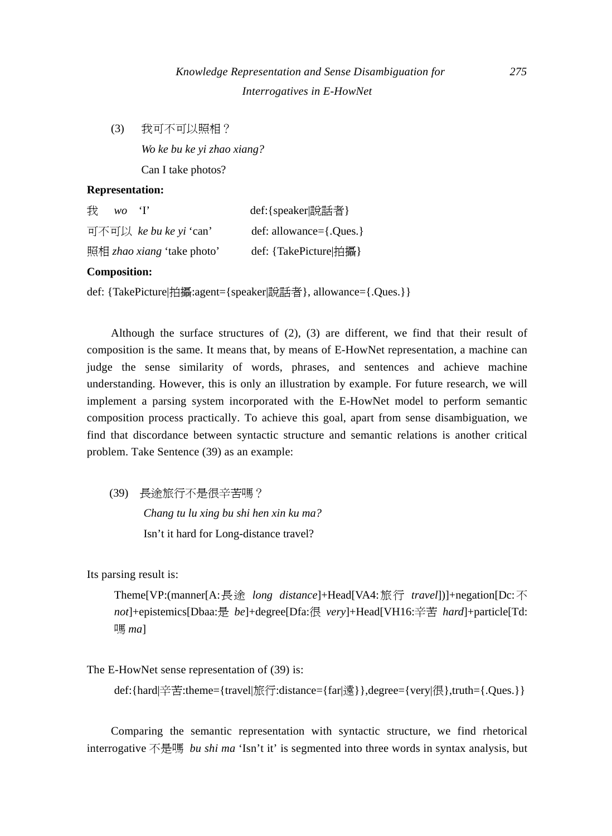(3) 我可不可以照相? *Wo ke bu ke yi zhao xiang?* 

Can I take photos?

#### **Representation:**

| 我<br>wo. | $\mathbf{H}$                      | def:{speaker 說話者}               |
|----------|-----------------------------------|---------------------------------|
|          | 可不可以 ke bu ke yi 'can'            | $def: allowance = \{. Ques. \}$ |
|          | 照相 <i>zhao xiang</i> 'take photo' | def: {TakePicture 拍攝}           |

#### **Composition:**

def: {TakePicture|拍攝:agent={speaker|說話者}, allowance={.Ques.}}

Although the surface structures of (2), (3) are different, we find that their result of composition is the same. It means that, by means of E-HowNet representation, a machine can judge the sense similarity of words, phrases, and sentences and achieve machine understanding. However, this is only an illustration by example. For future research, we will implement a parsing system incorporated with the E-HowNet model to perform semantic composition process practically. To achieve this goal, apart from sense disambiguation, we find that discordance between syntactic structure and semantic relations is another critical problem. Take Sentence (39) as an example:

(39) 長途旅行不是很辛苦嗎?

*Chang tu lu xing bu shi hen xin ku ma?* Isn't it hard for Long-distance travel?

Its parsing result is:

Theme[VP:(manner[A:長途 *long distance*]+Head[VA4:旅行 *travel*])]+negation[Dc:不 *not*]+epistemics[Dbaa:是 *be*]+degree[Dfa:很 *very*]+Head[VH16:辛苦 *hard*]+particle[Td: 嗎 *ma*]

The E-HowNet sense representation of (39) is:

def:{hard|辛苦:theme={travel|旅行:distance={far|遠}},degree={very|很},truth={.Ques.}}

Comparing the semantic representation with syntactic structure, we find rhetorical interrogative 不是嗎 *bu shi ma* 'Isn't it' is segmented into three words in syntax analysis, but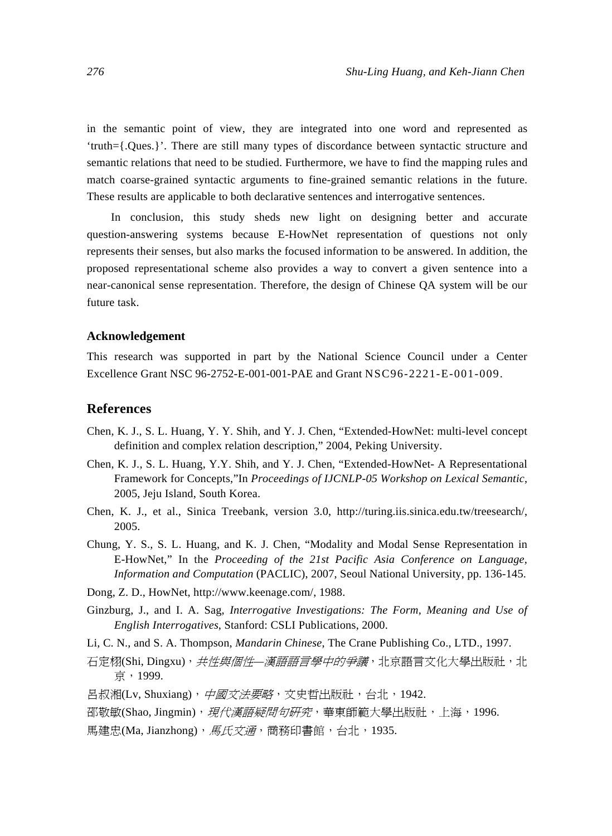in the semantic point of view, they are integrated into one word and represented as 'truth={.Ques.}'. There are still many types of discordance between syntactic structure and semantic relations that need to be studied. Furthermore, we have to find the mapping rules and match coarse-grained syntactic arguments to fine-grained semantic relations in the future. These results are applicable to both declarative sentences and interrogative sentences.

In conclusion, this study sheds new light on designing better and accurate question-answering systems because E-HowNet representation of questions not only represents their senses, but also marks the focused information to be answered. In addition, the proposed representational scheme also provides a way to convert a given sentence into a near-canonical sense representation. Therefore, the design of Chinese QA system will be our future task.

#### **Acknowledgement**

This research was supported in part by the National Science Council under a Center Excellence Grant NSC 96-2752-E-001-001-PAE and Grant NSC96-2221-E-001-009.

#### **References**

- Chen, K. J., S. L. Huang, Y. Y. Shih, and Y. J. Chen, "Extended-HowNet: multi-level concept definition and complex relation description," 2004, Peking University.
- Chen, K. J., S. L. Huang, Y.Y. Shih, and Y. J. Chen, "Extended-HowNet- A Representational Framework for Concepts,"In *Proceedings of IJCNLP-05 Workshop on Lexical Semantic*, 2005, Jeju Island, South Korea.
- Chen, K. J., et al., Sinica Treebank, version 3.0, http://turing.iis.sinica.edu.tw/treesearch/, 2005.
- Chung, Y. S., S. L. Huang, and K. J. Chen, "Modality and Modal Sense Representation in E-HowNet," In the *Proceeding of the 21st Pacific Asia Conference on Language, Information and Computation* (PACLIC), 2007, Seoul National University, pp. 136-145.
- Dong, Z. D., HowNet, http://www.keenage.com/, 1988.
- Ginzburg, J., and I. A. Sag, *Interrogative Investigations: The Form, Meaning and Use of English Interrogatives*, Stanford: CSLI Publications, 2000.
- Li*,* C. N., and S. A. Thompson, *Mandarin Chinese*, The Crane Publishing Co., LTD., 1997.
- 石定栩(Shi, Dingxu), *共性與個性—漢語語言學中的爭議*, 北京語言文化大學出版社, 北 京,1999.
- 呂叔湘(Lv, Shuxiang), 中國文法要略, 文史哲出版社, 台北, 1942.
- 邵敬敏(Shao, Jingmin),*現代漢語疑問句研究*,華東師範大學出版社,上海,1996.
- 馬建忠(Ma, Jianzhong),  $\overline{R}E\overline{X}E$ , 商務印書館, 台北, 1935.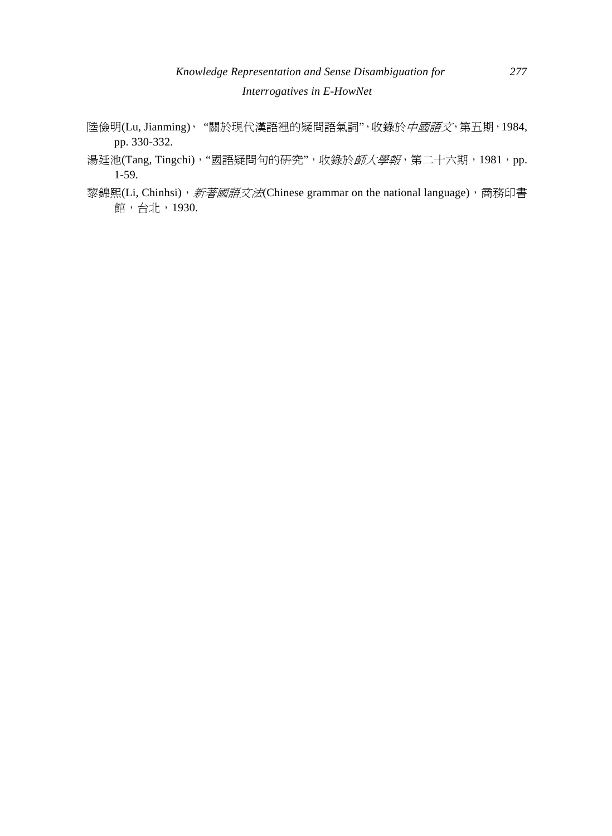- 陸儉明(Lu, Jianming), "關於現代漢語裡的疑問語氣詞", 收錄於*中國語文*, 第五期, 1984, pp. 330-332.
- 湯廷池(Tang, Tingchi), "國語疑問句的研究", 收錄於*師大學報*, 第二十六期, 1981, pp. 1-59.
- 黎錦熙(Li, Chinhsi), 新著國語文法(Chinese grammar on the national language), 商務印書 館,台北,1930.